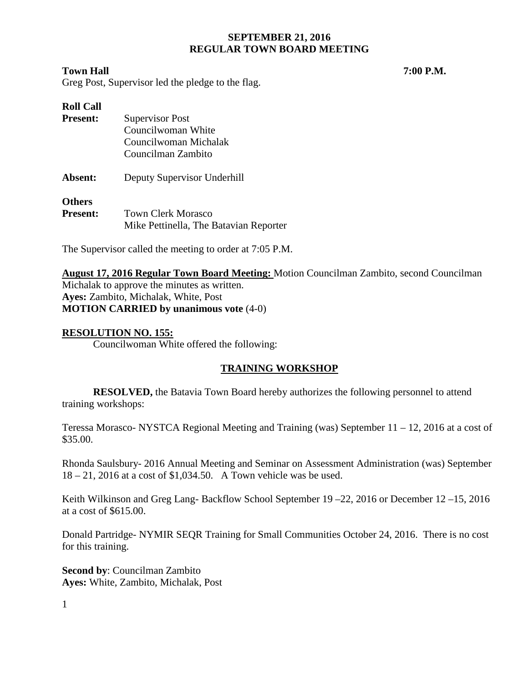### **Town Hall 7:00 P.M.**

Greg Post, Supervisor led the pledge to the flag.

| <b>Roll Call</b> |                                        |
|------------------|----------------------------------------|
| <b>Present:</b>  | <b>Supervisor Post</b>                 |
|                  | Councilwoman White                     |
|                  | Councilwoman Michalak                  |
|                  | Councilman Zambito                     |
| Absent:          | Deputy Supervisor Underhill            |
| <b>Others</b>    |                                        |
| <b>Present:</b>  | Town Clerk Morasco                     |
|                  | Mike Pettinella, The Batavian Reporter |

The Supervisor called the meeting to order at 7:05 P.M.

**August 17, 2016 Regular Town Board Meeting:** Motion Councilman Zambito, second Councilman Michalak to approve the minutes as written. **Ayes:** Zambito, Michalak, White, Post **MOTION CARRIED by unanimous vote** (4-0)

## **RESOLUTION NO. 155:**

Councilwoman White offered the following:

# **TRAINING WORKSHOP**

**RESOLVED,** the Batavia Town Board hereby authorizes the following personnel to attend training workshops:

Teressa Morasco- NYSTCA Regional Meeting and Training (was) September 11 – 12, 2016 at a cost of \$35.00.

Rhonda Saulsbury- 2016 Annual Meeting and Seminar on Assessment Administration (was) September 18 – 21, 2016 at a cost of \$1,034.50. A Town vehicle was be used.

Keith Wilkinson and Greg Lang- Backflow School September 19–22, 2016 or December 12–15, 2016 at a cost of \$615.00.

Donald Partridge- NYMIR SEQR Training for Small Communities October 24, 2016. There is no cost for this training.

**Second by**: Councilman Zambito **Ayes:** White, Zambito, Michalak, Post

1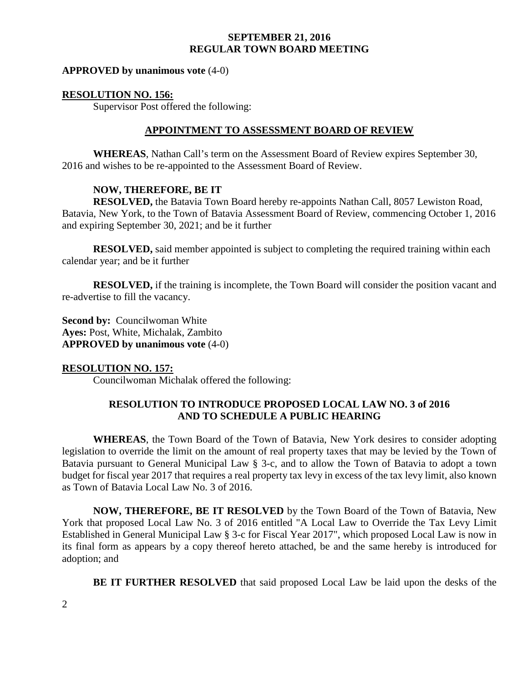#### **APPROVED by unanimous vote** (4-0)

#### **RESOLUTION NO. 156:**

Supervisor Post offered the following:

#### **APPOINTMENT TO ASSESSMENT BOARD OF REVIEW**

**WHEREAS**, Nathan Call's term on the Assessment Board of Review expires September 30, 2016 and wishes to be re-appointed to the Assessment Board of Review.

#### **NOW, THEREFORE, BE IT**

**RESOLVED,** the Batavia Town Board hereby re-appoints Nathan Call, 8057 Lewiston Road, Batavia, New York, to the Town of Batavia Assessment Board of Review, commencing October 1, 2016 and expiring September 30, 2021; and be it further

**RESOLVED,** said member appointed is subject to completing the required training within each calendar year; and be it further

**RESOLVED,** if the training is incomplete, the Town Board will consider the position vacant and re-advertise to fill the vacancy.

**Second by: Councilwoman White Ayes:** Post, White, Michalak, Zambito **APPROVED by unanimous vote** (4-0)

#### **RESOLUTION NO. 157:**

Councilwoman Michalak offered the following:

## **RESOLUTION TO INTRODUCE PROPOSED LOCAL LAW NO. 3 of 2016 AND TO SCHEDULE A PUBLIC HEARING**

**WHEREAS**, the Town Board of the Town of Batavia, New York desires to consider adopting legislation to override the limit on the amount of real property taxes that may be levied by the Town of Batavia pursuant to General Municipal Law § 3-c, and to allow the Town of Batavia to adopt a town budget for fiscal year 2017 that requires a real property tax levy in excess of the tax levy limit, also known as Town of Batavia Local Law No. 3 of 2016.

**NOW, THEREFORE, BE IT RESOLVED** by the Town Board of the Town of Batavia, New York that proposed Local Law No. 3 of 2016 entitled "A Local Law to Override the Tax Levy Limit Established in General Municipal Law § 3-c for Fiscal Year 2017", which proposed Local Law is now in its final form as appears by a copy thereof hereto attached, be and the same hereby is introduced for adoption; and

**BE IT FURTHER RESOLVED** that said proposed Local Law be laid upon the desks of the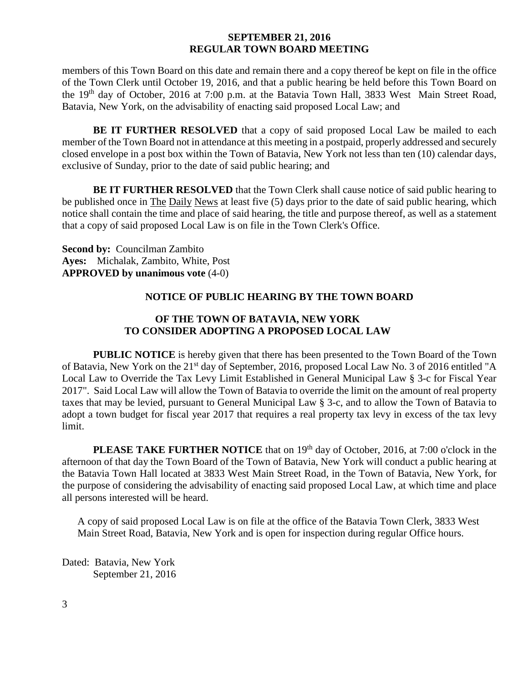members of this Town Board on this date and remain there and a copy thereof be kept on file in the office of the Town Clerk until October 19, 2016, and that a public hearing be held before this Town Board on the 19th day of October, 2016 at 7:00 p.m. at the Batavia Town Hall, 3833 West Main Street Road, Batavia, New York, on the advisability of enacting said proposed Local Law; and

**BE IT FURTHER RESOLVED** that a copy of said proposed Local Law be mailed to each member of the Town Board not in attendance at this meeting in a postpaid, properly addressed and securely closed envelope in a post box within the Town of Batavia, New York not less than ten (10) calendar days, exclusive of Sunday, prior to the date of said public hearing; and

**BE IT FURTHER RESOLVED** that the Town Clerk shall cause notice of said public hearing to be published once in The Daily News at least five (5) days prior to the date of said public hearing, which notice shall contain the time and place of said hearing, the title and purpose thereof, as well as a statement that a copy of said proposed Local Law is on file in the Town Clerk's Office.

**Second by:** Councilman Zambito **Ayes:** Michalak, Zambito, White, Post **APPROVED by unanimous vote** (4-0)

### **NOTICE OF PUBLIC HEARING BY THE TOWN BOARD**

# **OF THE TOWN OF BATAVIA, NEW YORK TO CONSIDER ADOPTING A PROPOSED LOCAL LAW**

**PUBLIC NOTICE** is hereby given that there has been presented to the Town Board of the Town of Batavia, New York on the 21<sup>st</sup> day of September, 2016, proposed Local Law No. 3 of 2016 entitled "A Local Law to Override the Tax Levy Limit Established in General Municipal Law § 3-c for Fiscal Year 2017". Said Local Law will allow the Town of Batavia to override the limit on the amount of real property taxes that may be levied, pursuant to General Municipal Law § 3-c, and to allow the Town of Batavia to adopt a town budget for fiscal year 2017 that requires a real property tax levy in excess of the tax levy limit.

**PLEASE TAKE FURTHER NOTICE** that on 19<sup>th</sup> day of October, 2016, at 7:00 o'clock in the afternoon of that day the Town Board of the Town of Batavia, New York will conduct a public hearing at the Batavia Town Hall located at 3833 West Main Street Road, in the Town of Batavia, New York, for the purpose of considering the advisability of enacting said proposed Local Law, at which time and place all persons interested will be heard.

A copy of said proposed Local Law is on file at the office of the Batavia Town Clerk, 3833 West Main Street Road, Batavia, New York and is open for inspection during regular Office hours.

Dated: Batavia, New York September 21, 2016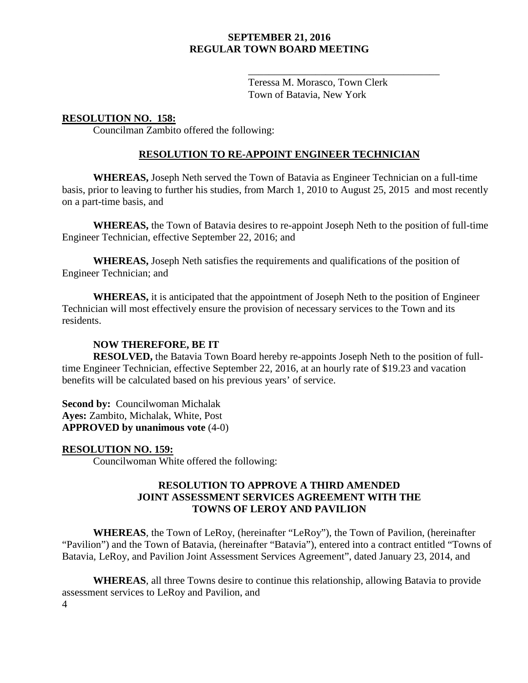Teressa M. Morasco, Town Clerk Town of Batavia, New York

\_\_\_\_\_\_\_\_\_\_\_\_\_\_\_\_\_\_\_\_\_\_\_\_\_\_\_\_\_\_\_\_\_\_\_\_\_

# **RESOLUTION NO. 158:**

Councilman Zambito offered the following:

## **RESOLUTION TO RE-APPOINT ENGINEER TECHNICIAN**

**WHEREAS,** Joseph Neth served the Town of Batavia as Engineer Technician on a full-time basis, prior to leaving to further his studies, from March 1, 2010 to August 25, 2015 and most recently on a part-time basis, and

**WHEREAS,** the Town of Batavia desires to re-appoint Joseph Neth to the position of full-time Engineer Technician, effective September 22, 2016; and

**WHEREAS,** Joseph Neth satisfies the requirements and qualifications of the position of Engineer Technician; and

**WHEREAS,** it is anticipated that the appointment of Joseph Neth to the position of Engineer Technician will most effectively ensure the provision of necessary services to the Town and its residents.

## **NOW THEREFORE, BE IT**

**RESOLVED,** the Batavia Town Board hereby re-appoints Joseph Neth to the position of fulltime Engineer Technician, effective September 22, 2016, at an hourly rate of \$19.23 and vacation benefits will be calculated based on his previous years' of service.

**Second by: Councilwoman Michalak Ayes:** Zambito, Michalak, White, Post **APPROVED by unanimous vote** (4-0)

#### **RESOLUTION NO. 159:**

Councilwoman White offered the following:

# **RESOLUTION TO APPROVE A THIRD AMENDED JOINT ASSESSMENT SERVICES AGREEMENT WITH THE TOWNS OF LEROY AND PAVILION**

**WHEREAS**, the Town of LeRoy, (hereinafter "LeRoy"), the Town of Pavilion, (hereinafter "Pavilion") and the Town of Batavia, (hereinafter "Batavia"), entered into a contract entitled "Towns of Batavia, LeRoy, and Pavilion Joint Assessment Services Agreement", dated January 23, 2014, and

4 **WHEREAS**, all three Towns desire to continue this relationship, allowing Batavia to provide assessment services to LeRoy and Pavilion, and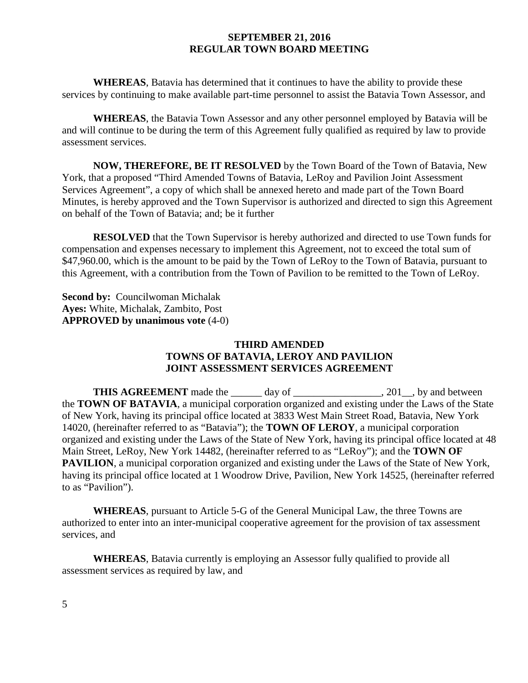**WHEREAS**, Batavia has determined that it continues to have the ability to provide these services by continuing to make available part-time personnel to assist the Batavia Town Assessor, and

**WHEREAS**, the Batavia Town Assessor and any other personnel employed by Batavia will be and will continue to be during the term of this Agreement fully qualified as required by law to provide assessment services.

**NOW, THEREFORE, BE IT RESOLVED** by the Town Board of the Town of Batavia, New York, that a proposed "Third Amended Towns of Batavia, LeRoy and Pavilion Joint Assessment Services Agreement", a copy of which shall be annexed hereto and made part of the Town Board Minutes, is hereby approved and the Town Supervisor is authorized and directed to sign this Agreement on behalf of the Town of Batavia; and; be it further

**RESOLVED** that the Town Supervisor is hereby authorized and directed to use Town funds for compensation and expenses necessary to implement this Agreement, not to exceed the total sum of \$47,960.00, which is the amount to be paid by the Town of LeRoy to the Town of Batavia, pursuant to this Agreement, with a contribution from the Town of Pavilion to be remitted to the Town of LeRoy.

**Second by: Councilwoman Michalak Ayes:** White, Michalak, Zambito, Post **APPROVED by unanimous vote** (4-0)

# **THIRD AMENDED TOWNS OF BATAVIA, LEROY AND PAVILION JOINT ASSESSMENT SERVICES AGREEMENT**

**THIS AGREEMENT** made the day of 301, by and between the **TOWN OF BATAVIA**, a municipal corporation organized and existing under the Laws of the State of New York, having its principal office located at 3833 West Main Street Road, Batavia, New York 14020, (hereinafter referred to as "Batavia"); the **TOWN OF LEROY**, a municipal corporation organized and existing under the Laws of the State of New York, having its principal office located at 48 Main Street, LeRoy, New York 14482, (hereinafter referred to as "LeRoy"); and the **TOWN OF PAVILION**, a municipal corporation organized and existing under the Laws of the State of New York, having its principal office located at 1 Woodrow Drive, Pavilion, New York 14525, (hereinafter referred to as "Pavilion").

**WHEREAS**, pursuant to Article 5-G of the General Municipal Law, the three Towns are authorized to enter into an inter-municipal cooperative agreement for the provision of tax assessment services, and

**WHEREAS**, Batavia currently is employing an Assessor fully qualified to provide all assessment services as required by law, and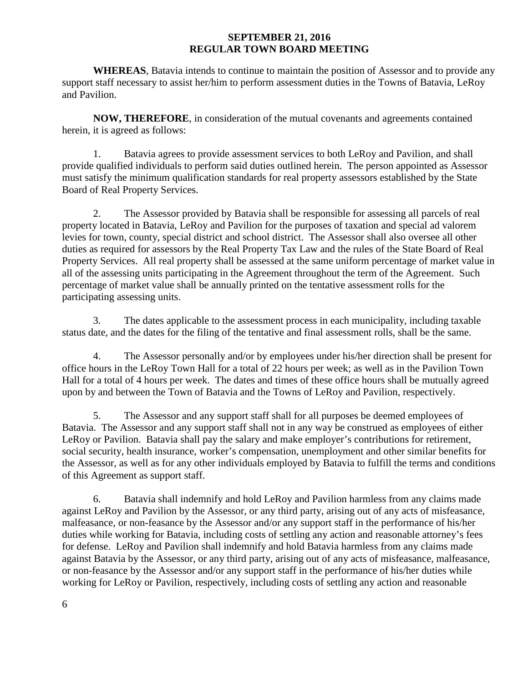**WHEREAS**, Batavia intends to continue to maintain the position of Assessor and to provide any support staff necessary to assist her/him to perform assessment duties in the Towns of Batavia, LeRoy and Pavilion.

**NOW, THEREFORE**, in consideration of the mutual covenants and agreements contained herein, it is agreed as follows:

1. Batavia agrees to provide assessment services to both LeRoy and Pavilion, and shall provide qualified individuals to perform said duties outlined herein. The person appointed as Assessor must satisfy the minimum qualification standards for real property assessors established by the State Board of Real Property Services.

2. The Assessor provided by Batavia shall be responsible for assessing all parcels of real property located in Batavia, LeRoy and Pavilion for the purposes of taxation and special ad valorem levies for town, county, special district and school district. The Assessor shall also oversee all other duties as required for assessors by the Real Property Tax Law and the rules of the State Board of Real Property Services. All real property shall be assessed at the same uniform percentage of market value in all of the assessing units participating in the Agreement throughout the term of the Agreement. Such percentage of market value shall be annually printed on the tentative assessment rolls for the participating assessing units.

3. The dates applicable to the assessment process in each municipality, including taxable status date, and the dates for the filing of the tentative and final assessment rolls, shall be the same.

4. The Assessor personally and/or by employees under his/her direction shall be present for office hours in the LeRoy Town Hall for a total of 22 hours per week; as well as in the Pavilion Town Hall for a total of 4 hours per week. The dates and times of these office hours shall be mutually agreed upon by and between the Town of Batavia and the Towns of LeRoy and Pavilion, respectively.

5. The Assessor and any support staff shall for all purposes be deemed employees of Batavia. The Assessor and any support staff shall not in any way be construed as employees of either LeRoy or Pavilion. Batavia shall pay the salary and make employer's contributions for retirement, social security, health insurance, worker's compensation, unemployment and other similar benefits for the Assessor, as well as for any other individuals employed by Batavia to fulfill the terms and conditions of this Agreement as support staff.

6. Batavia shall indemnify and hold LeRoy and Pavilion harmless from any claims made against LeRoy and Pavilion by the Assessor, or any third party, arising out of any acts of misfeasance, malfeasance, or non-feasance by the Assessor and/or any support staff in the performance of his/her duties while working for Batavia, including costs of settling any action and reasonable attorney's fees for defense. LeRoy and Pavilion shall indemnify and hold Batavia harmless from any claims made against Batavia by the Assessor, or any third party, arising out of any acts of misfeasance, malfeasance, or non-feasance by the Assessor and/or any support staff in the performance of his/her duties while working for LeRoy or Pavilion, respectively, including costs of settling any action and reasonable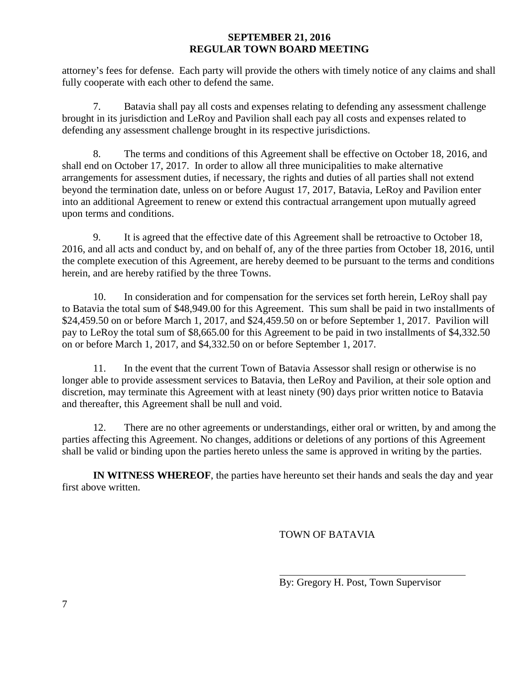attorney's fees for defense. Each party will provide the others with timely notice of any claims and shall fully cooperate with each other to defend the same.

7. Batavia shall pay all costs and expenses relating to defending any assessment challenge brought in its jurisdiction and LeRoy and Pavilion shall each pay all costs and expenses related to defending any assessment challenge brought in its respective jurisdictions.

8. The terms and conditions of this Agreement shall be effective on October 18, 2016, and shall end on October 17, 2017. In order to allow all three municipalities to make alternative arrangements for assessment duties, if necessary, the rights and duties of all parties shall not extend beyond the termination date, unless on or before August 17, 2017, Batavia, LeRoy and Pavilion enter into an additional Agreement to renew or extend this contractual arrangement upon mutually agreed upon terms and conditions.

9. It is agreed that the effective date of this Agreement shall be retroactive to October 18, 2016, and all acts and conduct by, and on behalf of, any of the three parties from October 18, 2016, until the complete execution of this Agreement, are hereby deemed to be pursuant to the terms and conditions herein, and are hereby ratified by the three Towns.

10. In consideration and for compensation for the services set forth herein, LeRoy shall pay to Batavia the total sum of \$48,949.00 for this Agreement. This sum shall be paid in two installments of \$24,459.50 on or before March 1, 2017, and \$24,459.50 on or before September 1, 2017. Pavilion will pay to LeRoy the total sum of \$8,665.00 for this Agreement to be paid in two installments of \$4,332.50 on or before March 1, 2017, and \$4,332.50 on or before September 1, 2017.

11. In the event that the current Town of Batavia Assessor shall resign or otherwise is no longer able to provide assessment services to Batavia, then LeRoy and Pavilion, at their sole option and discretion, may terminate this Agreement with at least ninety (90) days prior written notice to Batavia and thereafter, this Agreement shall be null and void.

12. There are no other agreements or understandings, either oral or written, by and among the parties affecting this Agreement. No changes, additions or deletions of any portions of this Agreement shall be valid or binding upon the parties hereto unless the same is approved in writing by the parties.

**IN WITNESS WHEREOF**, the parties have hereunto set their hands and seals the day and year first above written.

TOWN OF BATAVIA

By: Gregory H. Post, Town Supervisor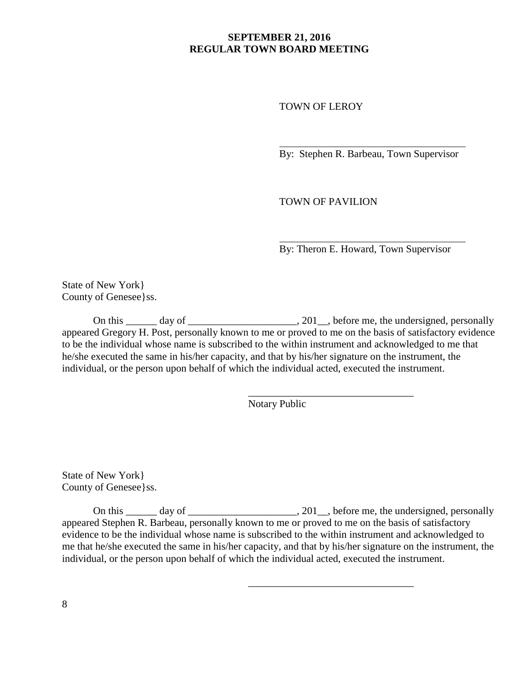TOWN OF LEROY

By: Stephen R. Barbeau, Town Supervisor

TOWN OF PAVILION

 $\overline{\phantom{a}}$  , where  $\overline{\phantom{a}}$  , where  $\overline{\phantom{a}}$  ,  $\overline{\phantom{a}}$  ,  $\overline{\phantom{a}}$  ,  $\overline{\phantom{a}}$  ,  $\overline{\phantom{a}}$  ,  $\overline{\phantom{a}}$  ,  $\overline{\phantom{a}}$  ,  $\overline{\phantom{a}}$  ,  $\overline{\phantom{a}}$  ,  $\overline{\phantom{a}}$  ,  $\overline{\phantom{a}}$  ,  $\overline{\phantom{a}}$  ,  $\overline{\phantom{a}}$  ,

 $\overline{\phantom{a}}$  , where  $\overline{\phantom{a}}$  , where  $\overline{\phantom{a}}$  ,  $\overline{\phantom{a}}$  ,  $\overline{\phantom{a}}$  ,  $\overline{\phantom{a}}$  ,  $\overline{\phantom{a}}$  ,  $\overline{\phantom{a}}$  ,  $\overline{\phantom{a}}$  ,  $\overline{\phantom{a}}$  ,  $\overline{\phantom{a}}$  ,  $\overline{\phantom{a}}$  ,  $\overline{\phantom{a}}$  ,  $\overline{\phantom{a}}$  ,  $\overline{\phantom{a}}$  ,

By: Theron E. Howard, Town Supervisor

State of New York} County of Genesee}ss.

On this \_\_\_\_\_\_ day of \_\_\_\_\_\_\_\_\_\_\_\_\_\_\_\_\_\_\_\_, 201\_\_, before me, the undersigned, personally appeared Gregory H. Post, personally known to me or proved to me on the basis of satisfactory evidence to be the individual whose name is subscribed to the within instrument and acknowledged to me that he/she executed the same in his/her capacity, and that by his/her signature on the instrument, the individual, or the person upon behalf of which the individual acted, executed the instrument.

Notary Public

State of New York} County of Genesee}ss.

On this  $\frac{1}{\sqrt{2}}$  day of  $\frac{1}{\sqrt{2}}$  day of  $\frac{1}{\sqrt{2}}$ , before me, the undersigned, personally appeared Stephen R. Barbeau, personally known to me or proved to me on the basis of satisfactory evidence to be the individual whose name is subscribed to the within instrument and acknowledged to me that he/she executed the same in his/her capacity, and that by his/her signature on the instrument, the individual, or the person upon behalf of which the individual acted, executed the instrument.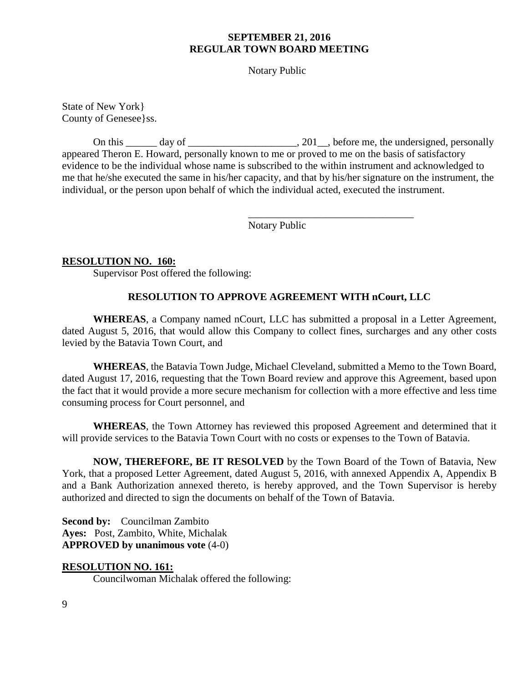Notary Public

State of New York} County of Genesee}ss.

On this \_\_\_\_\_\_ day of \_\_\_\_\_\_\_\_\_\_\_\_\_\_\_\_\_\_\_\_\_, 201\_\_, before me, the undersigned, personally appeared Theron E. Howard, personally known to me or proved to me on the basis of satisfactory evidence to be the individual whose name is subscribed to the within instrument and acknowledged to me that he/she executed the same in his/her capacity, and that by his/her signature on the instrument, the individual, or the person upon behalf of which the individual acted, executed the instrument.

Notary Public

 $\overline{\phantom{a}}$  , where  $\overline{\phantom{a}}$  , where  $\overline{\phantom{a}}$  ,  $\overline{\phantom{a}}$  ,  $\overline{\phantom{a}}$  ,  $\overline{\phantom{a}}$  ,  $\overline{\phantom{a}}$  ,  $\overline{\phantom{a}}$  ,  $\overline{\phantom{a}}$  ,  $\overline{\phantom{a}}$  ,  $\overline{\phantom{a}}$  ,  $\overline{\phantom{a}}$  ,  $\overline{\phantom{a}}$  ,  $\overline{\phantom{a}}$  ,  $\overline{\phantom{a}}$  ,

#### **RESOLUTION NO. 160:**

Supervisor Post offered the following:

#### **RESOLUTION TO APPROVE AGREEMENT WITH nCourt, LLC**

**WHEREAS**, a Company named nCourt, LLC has submitted a proposal in a Letter Agreement, dated August 5, 2016, that would allow this Company to collect fines, surcharges and any other costs levied by the Batavia Town Court, and

**WHEREAS**, the Batavia Town Judge, Michael Cleveland, submitted a Memo to the Town Board, dated August 17, 2016, requesting that the Town Board review and approve this Agreement, based upon the fact that it would provide a more secure mechanism for collection with a more effective and less time consuming process for Court personnel, and

**WHEREAS**, the Town Attorney has reviewed this proposed Agreement and determined that it will provide services to the Batavia Town Court with no costs or expenses to the Town of Batavia.

**NOW, THEREFORE, BE IT RESOLVED** by the Town Board of the Town of Batavia, New York, that a proposed Letter Agreement, dated August 5, 2016, with annexed Appendix A, Appendix B and a Bank Authorization annexed thereto, is hereby approved, and the Town Supervisor is hereby authorized and directed to sign the documents on behalf of the Town of Batavia.

**Second by:** Councilman Zambito **Ayes:** Post, Zambito, White, Michalak **APPROVED by unanimous vote** (4-0)

#### **RESOLUTION NO. 161:**

Councilwoman Michalak offered the following: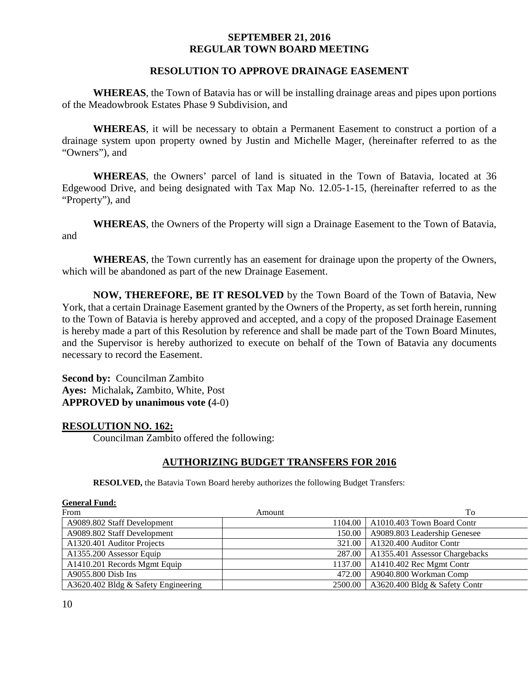#### **RESOLUTION TO APPROVE DRAINAGE EASEMENT**

**WHEREAS**, the Town of Batavia has or will be installing drainage areas and pipes upon portions of the Meadowbrook Estates Phase 9 Subdivision, and

**WHEREAS**, it will be necessary to obtain a Permanent Easement to construct a portion of a drainage system upon property owned by Justin and Michelle Mager, (hereinafter referred to as the "Owners"), and

**WHEREAS**, the Owners' parcel of land is situated in the Town of Batavia, located at 36 Edgewood Drive, and being designated with Tax Map No. 12.05-1-15, (hereinafter referred to as the "Property"), and

**WHEREAS**, the Owners of the Property will sign a Drainage Easement to the Town of Batavia, and

**WHEREAS**, the Town currently has an easement for drainage upon the property of the Owners, which will be abandoned as part of the new Drainage Easement.

**NOW, THEREFORE, BE IT RESOLVED** by the Town Board of the Town of Batavia, New York, that a certain Drainage Easement granted by the Owners of the Property, as set forth herein, running to the Town of Batavia is hereby approved and accepted, and a copy of the proposed Drainage Easement is hereby made a part of this Resolution by reference and shall be made part of the Town Board Minutes, and the Supervisor is hereby authorized to execute on behalf of the Town of Batavia any documents necessary to record the Easement.

**Second by:** Councilman Zambito **Ayes:** Michalak**,** Zambito, White, Post **APPROVED by unanimous vote (**4-0)

#### **RESOLUTION NO. 162:**

Councilman Zambito offered the following:

#### **AUTHORIZING BUDGET TRANSFERS FOR 2016**

**RESOLVED,** the Batavia Town Board hereby authorizes the following Budget Transfers:

| <b>General Fund:</b>                |         |                                         |
|-------------------------------------|---------|-----------------------------------------|
| From                                | Amount  | To                                      |
| A9089.802 Staff Development         |         | 1104.00   A1010.403 Town Board Contr    |
| A9089.802 Staff Development         | 150.00  | A9089.803 Leadership Genesee            |
| A1320.401 Auditor Projects          | 321.00  | A1320.400 Auditor Contr                 |
| A1355.200 Assessor Equip            |         | 287.00   A1355.401 Assessor Chargebacks |
| A1410.201 Records Mgmt Equip        | 1137.00 | A1410.402 Rec Mgmt Contr                |
| A9055.800 Disb Ins                  | 472.00  | A9040.800 Workman Comp                  |
| A3620.402 Bldg & Safety Engineering |         | 2500.00   A3620.400 Bldg & Safety Contr |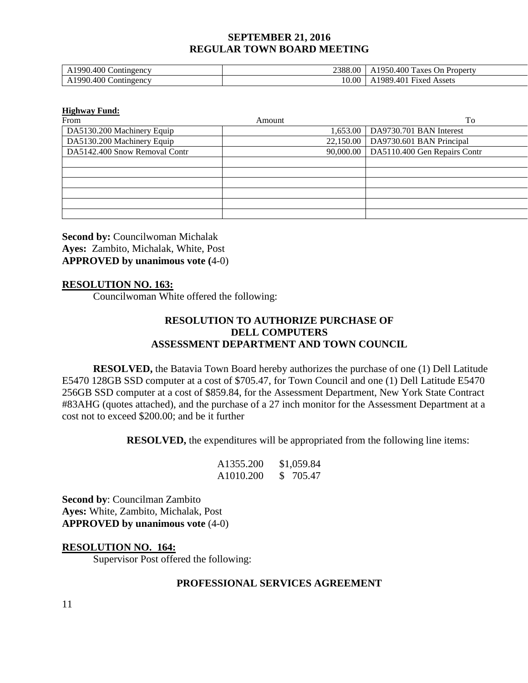| 0.400C<br>1990.<br>$Cont$ in $gencv$<br>A            | 2388.00 | A1950.<br>$.400 \text{ T}$<br>Property<br>On.<br>axes             |
|------------------------------------------------------|---------|-------------------------------------------------------------------|
| $0.400 \subset$<br>'990'<br>$\mathcal{L}$ ontingency | .0.00   | $\mathbf{r}$<br>.40 <sup>1</sup><br>989<br>Assets<br><b>Fixed</b> |

#### **Highway Fund:**

| From                          | Amount | To                                       |
|-------------------------------|--------|------------------------------------------|
| DA5130.200 Machinery Equip    |        | 1,653.00   DA9730.701 BAN Interest       |
| DA5130.200 Machinery Equip    |        | 22,150.00   DA9730.601 BAN Principal     |
| DA5142.400 Snow Removal Contr |        | 90,000.00   DA5110.400 Gen Repairs Contr |
|                               |        |                                          |
|                               |        |                                          |
|                               |        |                                          |
|                               |        |                                          |
|                               |        |                                          |
|                               |        |                                          |

**Second by:** Councilwoman Michalak **Ayes:** Zambito, Michalak, White, Post **APPROVED by unanimous vote (**4-0)

## **RESOLUTION NO. 163:**

Councilwoman White offered the following:

## **RESOLUTION TO AUTHORIZE PURCHASE OF DELL COMPUTERS ASSESSMENT DEPARTMENT AND TOWN COUNCIL**

**RESOLVED,** the Batavia Town Board hereby authorizes the purchase of one (1) Dell Latitude E5470 128GB SSD computer at a cost of \$705.47, for Town Council and one (1) Dell Latitude E5470 256GB SSD computer at a cost of \$859.84, for the Assessment Department, New York State Contract #83AHG (quotes attached), and the purchase of a 27 inch monitor for the Assessment Department at a cost not to exceed \$200.00; and be it further

**RESOLVED,** the expenditures will be appropriated from the following line items:

| A1355.200             | \$1,059.84 |
|-----------------------|------------|
| A <sub>1010.200</sub> | \$ 705.47  |

**Second by**: Councilman Zambito **Ayes:** White, Zambito, Michalak, Post **APPROVED by unanimous vote** (4-0)

#### **RESOLUTION NO. 164:**

Supervisor Post offered the following:

## **PROFESSIONAL SERVICES AGREEMENT**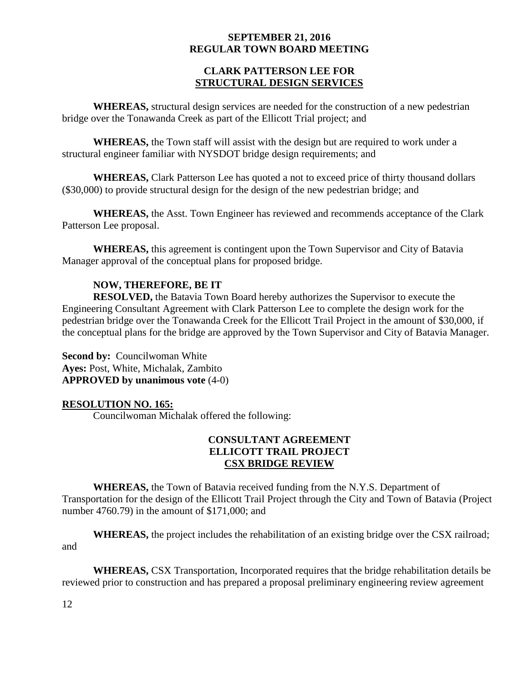## **CLARK PATTERSON LEE FOR STRUCTURAL DESIGN SERVICES**

**WHEREAS,** structural design services are needed for the construction of a new pedestrian bridge over the Tonawanda Creek as part of the Ellicott Trial project; and

**WHEREAS,** the Town staff will assist with the design but are required to work under a structural engineer familiar with NYSDOT bridge design requirements; and

**WHEREAS,** Clark Patterson Lee has quoted a not to exceed price of thirty thousand dollars (\$30,000) to provide structural design for the design of the new pedestrian bridge; and

**WHEREAS,** the Asst. Town Engineer has reviewed and recommends acceptance of the Clark Patterson Lee proposal.

**WHEREAS,** this agreement is contingent upon the Town Supervisor and City of Batavia Manager approval of the conceptual plans for proposed bridge.

# **NOW, THEREFORE, BE IT**

**RESOLVED,** the Batavia Town Board hereby authorizes the Supervisor to execute the Engineering Consultant Agreement with Clark Patterson Lee to complete the design work for the pedestrian bridge over the Tonawanda Creek for the Ellicott Trail Project in the amount of \$30,000, if the conceptual plans for the bridge are approved by the Town Supervisor and City of Batavia Manager.

**Second by: Councilwoman White Ayes:** Post, White, Michalak, Zambito **APPROVED by unanimous vote** (4-0)

## **RESOLUTION NO. 165:**

Councilwoman Michalak offered the following:

# **CONSULTANT AGREEMENT ELLICOTT TRAIL PROJECT CSX BRIDGE REVIEW**

**WHEREAS,** the Town of Batavia received funding from the N.Y.S. Department of Transportation for the design of the Ellicott Trail Project through the City and Town of Batavia (Project number 4760.79) in the amount of \$171,000; and

**WHEREAS,** the project includes the rehabilitation of an existing bridge over the CSX railroad; and

**WHEREAS,** CSX Transportation, Incorporated requires that the bridge rehabilitation details be reviewed prior to construction and has prepared a proposal preliminary engineering review agreement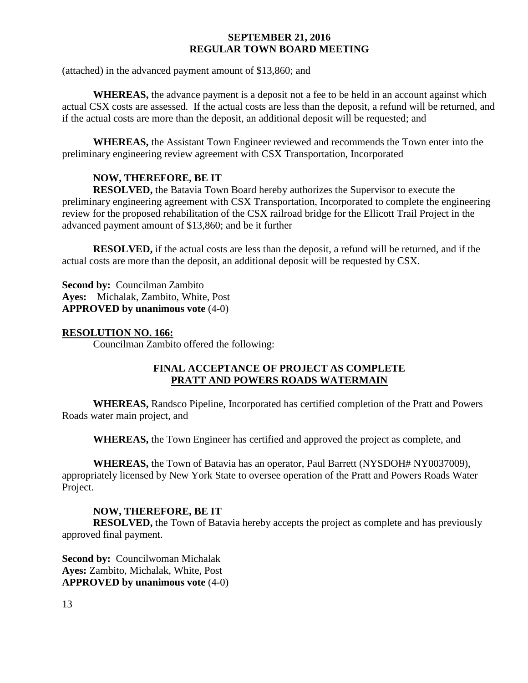(attached) in the advanced payment amount of \$13,860; and

**WHEREAS,** the advance payment is a deposit not a fee to be held in an account against which actual CSX costs are assessed. If the actual costs are less than the deposit, a refund will be returned, and if the actual costs are more than the deposit, an additional deposit will be requested; and

**WHEREAS,** the Assistant Town Engineer reviewed and recommends the Town enter into the preliminary engineering review agreement with CSX Transportation, Incorporated

# **NOW, THEREFORE, BE IT**

**RESOLVED,** the Batavia Town Board hereby authorizes the Supervisor to execute the preliminary engineering agreement with CSX Transportation, Incorporated to complete the engineering review for the proposed rehabilitation of the CSX railroad bridge for the Ellicott Trail Project in the advanced payment amount of \$13,860; and be it further

**RESOLVED,** if the actual costs are less than the deposit, a refund will be returned, and if the actual costs are more than the deposit, an additional deposit will be requested by CSX.

**Second by:** Councilman Zambito **Ayes:** Michalak, Zambito, White, Post **APPROVED by unanimous vote** (4-0)

### **RESOLUTION NO. 166:**

Councilman Zambito offered the following:

## **FINAL ACCEPTANCE OF PROJECT AS COMPLETE PRATT AND POWERS ROADS WATERMAIN**

**WHEREAS,** Randsco Pipeline, Incorporated has certified completion of the Pratt and Powers Roads water main project, and

**WHEREAS,** the Town Engineer has certified and approved the project as complete, and

**WHEREAS,** the Town of Batavia has an operator, Paul Barrett (NYSDOH# NY0037009), appropriately licensed by New York State to oversee operation of the Pratt and Powers Roads Water Project.

## **NOW, THEREFORE, BE IT**

**RESOLVED,** the Town of Batavia hereby accepts the project as complete and has previously approved final payment.

**Second by: Councilwoman Michalak Ayes:** Zambito, Michalak, White, Post **APPROVED by unanimous vote** (4-0)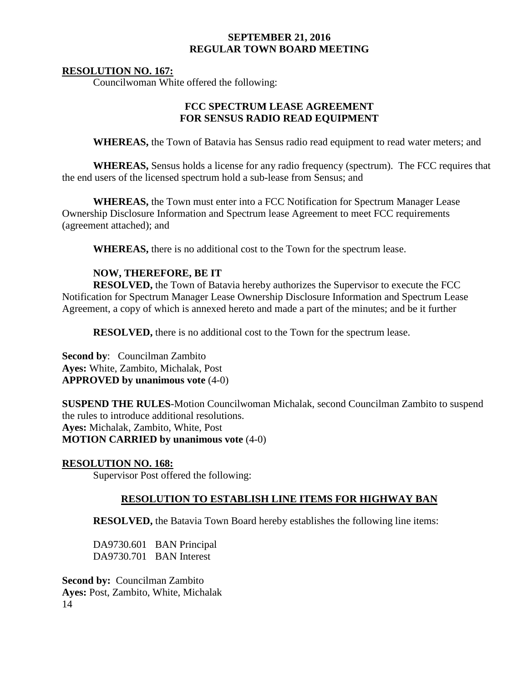### **RESOLUTION NO. 167:**

Councilwoman White offered the following:

## **FCC SPECTRUM LEASE AGREEMENT FOR SENSUS RADIO READ EQUIPMENT**

**WHEREAS,** the Town of Batavia has Sensus radio read equipment to read water meters; and

**WHEREAS,** Sensus holds a license for any radio frequency (spectrum). The FCC requires that the end users of the licensed spectrum hold a sub-lease from Sensus; and

**WHEREAS,** the Town must enter into a FCC Notification for Spectrum Manager Lease Ownership Disclosure Information and Spectrum lease Agreement to meet FCC requirements (agreement attached); and

**WHEREAS,** there is no additional cost to the Town for the spectrum lease.

# **NOW, THEREFORE, BE IT**

**RESOLVED,** the Town of Batavia hereby authorizes the Supervisor to execute the FCC Notification for Spectrum Manager Lease Ownership Disclosure Information and Spectrum Lease Agreement, a copy of which is annexed hereto and made a part of the minutes; and be it further

**RESOLVED,** there is no additional cost to the Town for the spectrum lease.

**Second by**: Councilman Zambito **Ayes:** White, Zambito, Michalak, Post **APPROVED by unanimous vote** (4-0)

**SUSPEND THE RULES**-Motion Councilwoman Michalak, second Councilman Zambito to suspend the rules to introduce additional resolutions. **Ayes:** Michalak, Zambito, White, Post **MOTION CARRIED by unanimous vote** (4-0)

#### **RESOLUTION NO. 168:**

Supervisor Post offered the following:

## **RESOLUTION TO ESTABLISH LINE ITEMS FOR HIGHWAY BAN**

**RESOLVED,** the Batavia Town Board hereby establishes the following line items:

DA9730.601 BAN Principal DA9730.701 BAN Interest

14 **Second by: Councilman Zambito Ayes:** Post, Zambito, White, Michalak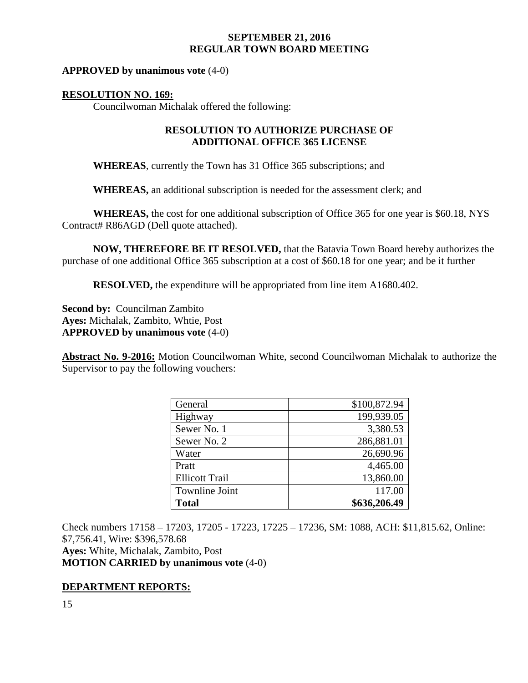### **APPROVED by unanimous vote** (4-0)

### **RESOLUTION NO. 169:**

Councilwoman Michalak offered the following:

## **RESOLUTION TO AUTHORIZE PURCHASE OF ADDITIONAL OFFICE 365 LICENSE**

**WHEREAS**, currently the Town has 31 Office 365 subscriptions; and

**WHEREAS,** an additional subscription is needed for the assessment clerk; and

**WHEREAS,** the cost for one additional subscription of Office 365 for one year is \$60.18, NYS Contract# R86AGD (Dell quote attached).

**NOW, THEREFORE BE IT RESOLVED,** that the Batavia Town Board hereby authorizes the purchase of one additional Office 365 subscription at a cost of \$60.18 for one year; and be it further

**RESOLVED,** the expenditure will be appropriated from line item A1680.402.

**Second by:** Councilman Zambito **Ayes:** Michalak, Zambito, Whtie, Post **APPROVED by unanimous vote** (4-0)

**Abstract No. 9-2016:** Motion Councilwoman White, second Councilwoman Michalak to authorize the Supervisor to pay the following vouchers:

| General               | \$100,872.94 |
|-----------------------|--------------|
| Highway               | 199,939.05   |
| Sewer No. 1           | 3,380.53     |
| Sewer No. 2           | 286,881.01   |
| Water                 | 26,690.96    |
| Pratt                 | 4,465.00     |
| <b>Ellicott Trail</b> | 13,860.00    |
| <b>Townline Joint</b> | 117.00       |
| <b>Total</b>          | \$636,206.49 |

Check numbers 17158 – 17203, 17205 - 17223, 17225 – 17236, SM: 1088, ACH: \$11,815.62, Online: \$7,756.41, Wire: \$396,578.68 **Ayes:** White, Michalak, Zambito, Post **MOTION CARRIED by unanimous vote** (4-0)

## **DEPARTMENT REPORTS:**

15